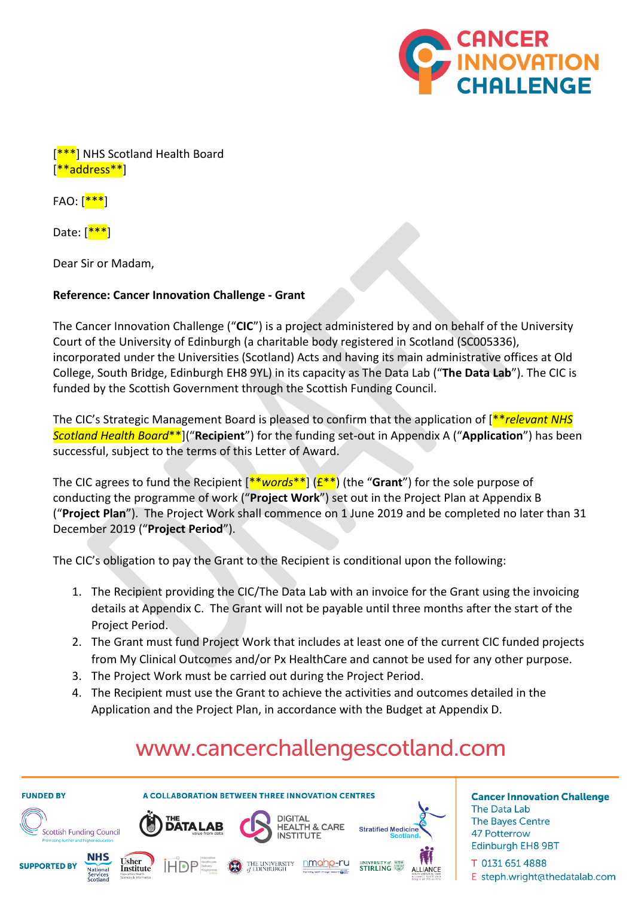

[<sup>\*\*\*</sup>] NHS Scotland Health Board [\*\*address\*\*]

 $FAO: [***]$ 

Date:  $\left[\frac{***}{} \right]$ 

Dear Sir or Madam,

#### **Reference: Cancer Innovation Challenge - Grant**

The Cancer Innovation Challenge ("**CIC**") is a project administered by and on behalf of the University Court of the University of Edinburgh (a charitable body registered in Scotland (SC005336), incorporated under the Universities (Scotland) Acts and having its main administrative offices at Old College, South Bridge, Edinburgh EH8 9YL) in its capacity as The Data Lab ("**The Data Lab**"). The CIC is funded by the Scottish Government through the Scottish Funding Council.

The CIC's Strategic Management Board is pleased to confirm that the application of [\*\**relevant NHS Scotland Health Board*\*\*]("**Recipient**") for the funding set-out in Appendix A ("**Application**") has been successful, subject to the terms of this Letter of Award.

The CIC agrees to fund the Recipient [\*\**words*\*\*] (£\*\*) (the "**Grant**") for the sole purpose of conducting the programme of work ("**Project Work**") set out in the Project Plan at Appendix B ("**Project Plan**"). The Project Work shall commence on 1 June 2019 and be completed no later than 31 December 2019 ("**Project Period**").

The CIC's obligation to pay the Grant to the Recipient is conditional upon the following:

- 1. The Recipient providing the CIC/The Data Lab with an invoice for the Grant using the invoicing details at Appendix C. The Grant will not be payable until three months after the start of the Project Period.
- 2. The Grant must fund Project Work that includes at least one of the current CIC funded projects from My Clinical Outcomes and/or Px HealthCare and cannot be used for any other purpose.
- 3. The Project Work must be carried out during the Project Period.
- 4. The Recipient must use the Grant to achieve the activities and outcomes detailed in the Application and the Project Plan, in accordance with the Budget at Appendix D.

# www.cancerchallengescotland.com



T 0131 651 4888 E steph.wright@thedatalab.com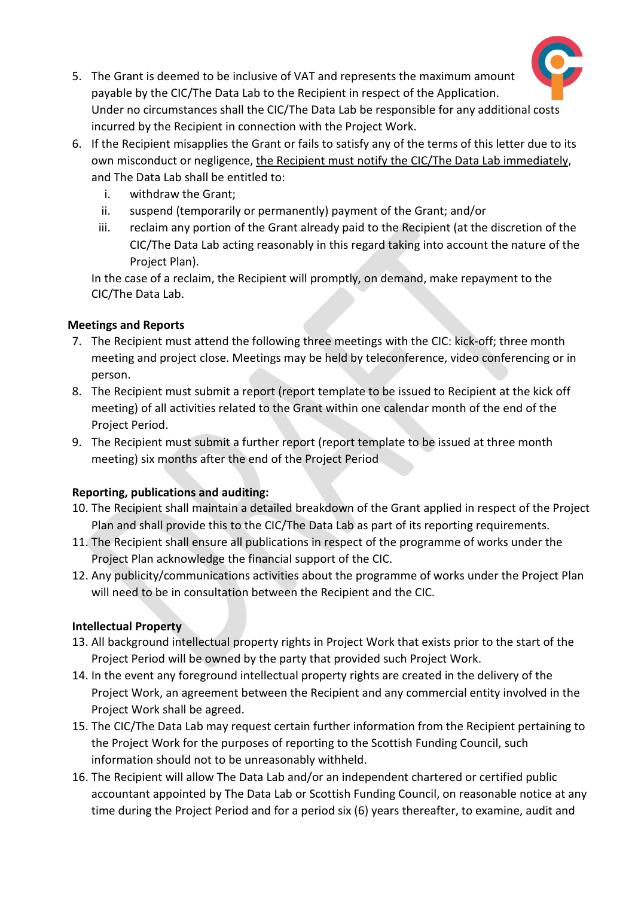

- 5. The Grant is deemed to be inclusive of VAT and represents the maximum amount payable by the CIC/The Data Lab to the Recipient in respect of the Application. Under no circumstances shall the CIC/The Data Lab be responsible for any additional costs incurred by the Recipient in connection with the Project Work.
- 6. If the Recipient misapplies the Grant or fails to satisfy any of the terms of this letter due to its own misconduct or negligence, the Recipient must notify the CIC/The Data Lab immediately, and The Data Lab shall be entitled to:
	- i. withdraw the Grant;
	- ii. suspend (temporarily or permanently) payment of the Grant; and/or
	- iii. reclaim any portion of the Grant already paid to the Recipient (at the discretion of the CIC/The Data Lab acting reasonably in this regard taking into account the nature of the Project Plan).

In the case of a reclaim, the Recipient will promptly, on demand, make repayment to the CIC/The Data Lab.

#### **Meetings and Reports**

- 7. The Recipient must attend the following three meetings with the CIC: kick-off; three month meeting and project close. Meetings may be held by teleconference, video conferencing or in person.
- 8. The Recipient must submit a report (report template to be issued to Recipient at the kick off meeting) of all activities related to the Grant within one calendar month of the end of the Project Period.
- 9. The Recipient must submit a further report (report template to be issued at three month meeting) six months after the end of the Project Period

# **Reporting, publications and auditing:**

- 10. The Recipient shall maintain a detailed breakdown of the Grant applied in respect of the Project Plan and shall provide this to the CIC/The Data Lab as part of its reporting requirements.
- 11. The Recipient shall ensure all publications in respect of the programme of works under the Project Plan acknowledge the financial support of the CIC.
- 12. Any publicity/communications activities about the programme of works under the Project Plan will need to be in consultation between the Recipient and the CIC.

# **Intellectual Property**

- 13. All background intellectual property rights in Project Work that exists prior to the start of the Project Period will be owned by the party that provided such Project Work.
- 14. In the event any foreground intellectual property rights are created in the delivery of the Project Work, an agreement between the Recipient and any commercial entity involved in the Project Work shall be agreed.
- 15. The CIC/The Data Lab may request certain further information from the Recipient pertaining to the Project Work for the purposes of reporting to the Scottish Funding Council, such information should not to be unreasonably withheld.
- 16. The Recipient will allow The Data Lab and/or an independent chartered or certified public accountant appointed by The Data Lab or Scottish Funding Council, on reasonable notice at any time during the Project Period and for a period six (6) years thereafter, to examine, audit and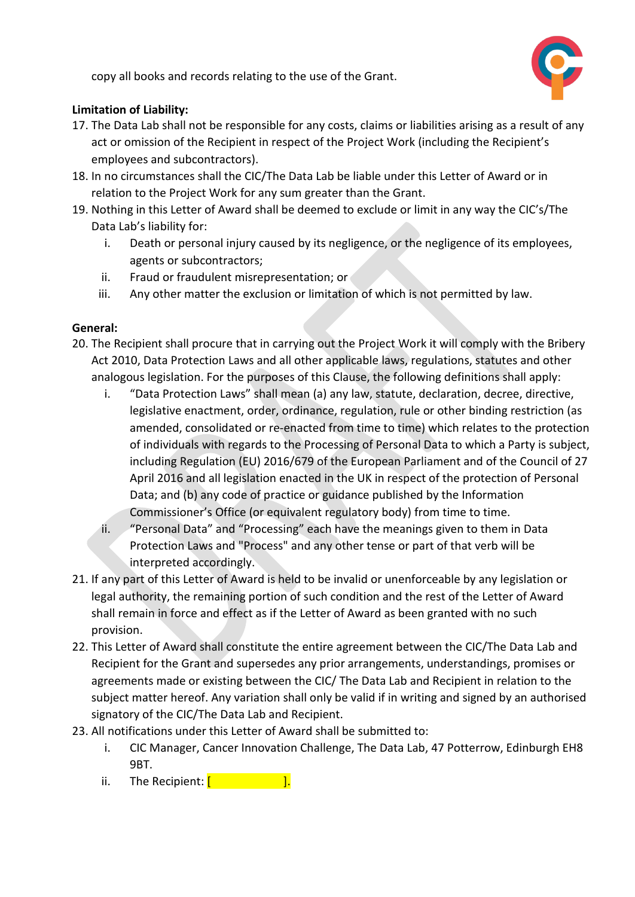copy all books and records relating to the use of the Grant.



# **Limitation of Liability:**

- 17. The Data Lab shall not be responsible for any costs, claims or liabilities arising as a result of any act or omission of the Recipient in respect of the Project Work (including the Recipient's employees and subcontractors).
- 18. In no circumstances shall the CIC/The Data Lab be liable under this Letter of Award or in relation to the Project Work for any sum greater than the Grant.
- 19. Nothing in this Letter of Award shall be deemed to exclude or limit in any way the CIC's/The Data Lab's liability for:
	- i. Death or personal injury caused by its negligence, or the negligence of its employees, agents or subcontractors;
	- ii. Fraud or fraudulent misrepresentation; or
	- iii. Any other matter the exclusion or limitation of which is not permitted by law.

# **General:**

- 20. The Recipient shall procure that in carrying out the Project Work it will comply with the Bribery Act 2010, Data Protection Laws and all other applicable laws, regulations, statutes and other analogous legislation. For the purposes of this Clause, the following definitions shall apply:
	- i. "Data Protection Laws" shall mean (a) any law, statute, declaration, decree, directive, legislative enactment, order, ordinance, regulation, rule or other binding restriction (as amended, consolidated or re-enacted from time to time) which relates to the protection of individuals with regards to the Processing of Personal Data to which a Party is subject, including Regulation (EU) 2016/679 of the European Parliament and of the Council of 27 April 2016 and all legislation enacted in the UK in respect of the protection of Personal Data; and (b) any code of practice or guidance published by the Information Commissioner's Office (or equivalent regulatory body) from time to time.
	- ii. "Personal Data" and "Processing" each have the meanings given to them in Data Protection Laws and "Process" and any other tense or part of that verb will be interpreted accordingly.
- 21. If any part of this Letter of Award is held to be invalid or unenforceable by any legislation or legal authority, the remaining portion of such condition and the rest of the Letter of Award shall remain in force and effect as if the Letter of Award as been granted with no such provision.
- 22. This Letter of Award shall constitute the entire agreement between the CIC/The Data Lab and Recipient for the Grant and supersedes any prior arrangements, understandings, promises or agreements made or existing between the CIC/ The Data Lab and Recipient in relation to the subject matter hereof. Any variation shall only be valid if in writing and signed by an authorised signatory of the CIC/The Data Lab and Recipient.
- 23. All notifications under this Letter of Award shall be submitted to:
	- i. CIC Manager, Cancer Innovation Challenge, The Data Lab, 47 Potterrow, Edinburgh EH8 9BT.
	- ii. The Recipient:  $[$   $]$ .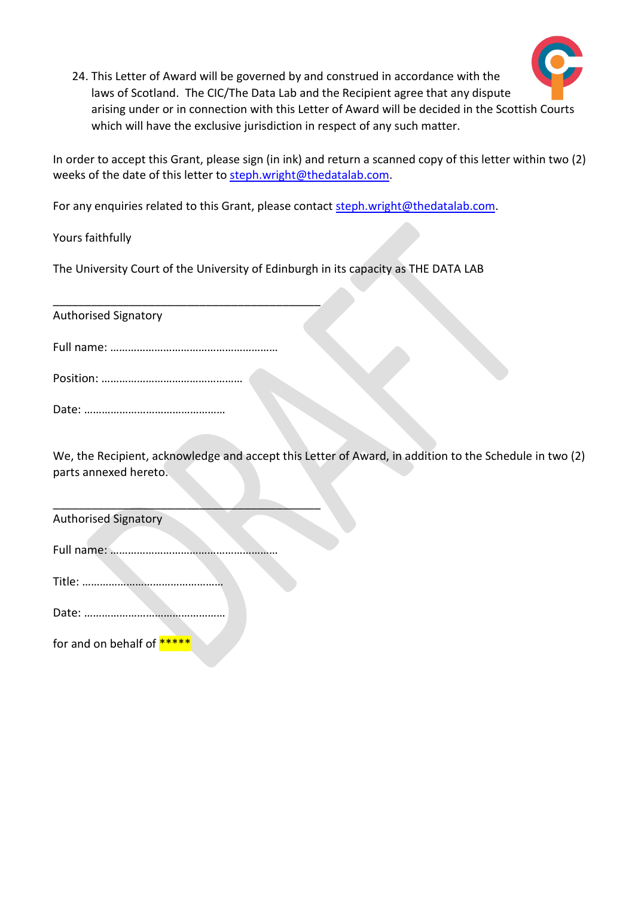

24. This Letter of Award will be governed by and construed in accordance with the laws of Scotland. The CIC/The Data Lab and the Recipient agree that any dispute arising under or in connection with this Letter of Award will be decided in the Scottish Courts which will have the exclusive jurisdiction in respect of any such matter.

In order to accept this Grant, please sign (in ink) and return a scanned copy of this letter within two (2) weeks of the date of this letter to [steph.wright@thedatalab.com.](mailto:steph.wright@thedatalab.com)

For any enquiries related to this Grant, please contac[t steph.wright@thedatalab.com.](mailto:steph.wright@thedatalab.com)

Yours faithfully

The University Court of the University of Edinburgh in its capacity as THE DATA LAB

Authorised Signatory

\_\_\_\_\_\_\_\_\_\_\_\_\_\_\_\_\_\_\_\_\_\_\_\_\_\_\_\_\_\_\_\_\_\_\_\_\_\_\_\_\_\_

Position: …………………………………………

Date: …………………………………………

We, the Recipient, acknowledge and accept this Letter of Award, in addition to the Schedule in two (2) parts annexed hereto.

Authorised Signatory

|--|--|--|--|

 $\overline{\phantom{a}}$  , where  $\overline{\phantom{a}}$  , where  $\overline{\phantom{a}}$  ,  $\overline{\phantom{a}}$  ,  $\overline{\phantom{a}}$  ,  $\overline{\phantom{a}}$  ,  $\overline{\phantom{a}}$  ,  $\overline{\phantom{a}}$  ,  $\overline{\phantom{a}}$  ,  $\overline{\phantom{a}}$  ,  $\overline{\phantom{a}}$  ,  $\overline{\phantom{a}}$  ,  $\overline{\phantom{a}}$  ,  $\overline{\phantom{a}}$  ,  $\overline{\phantom{a}}$  ,

Title: …………………………………………

Date: …………………………………………

for and on behalf of \*\*\*\*\*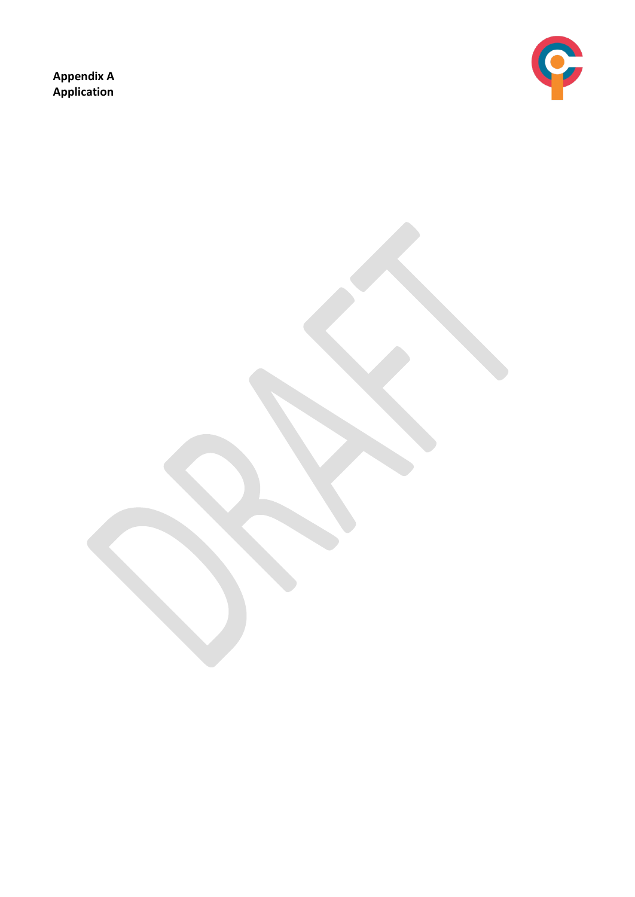**Appendix A Application** 

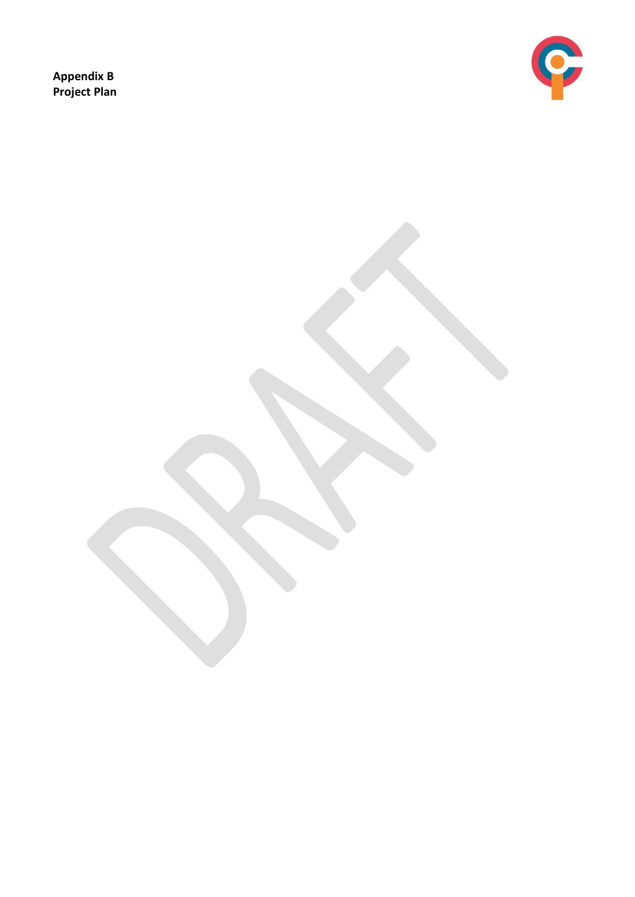**Appendix B Project Plan**

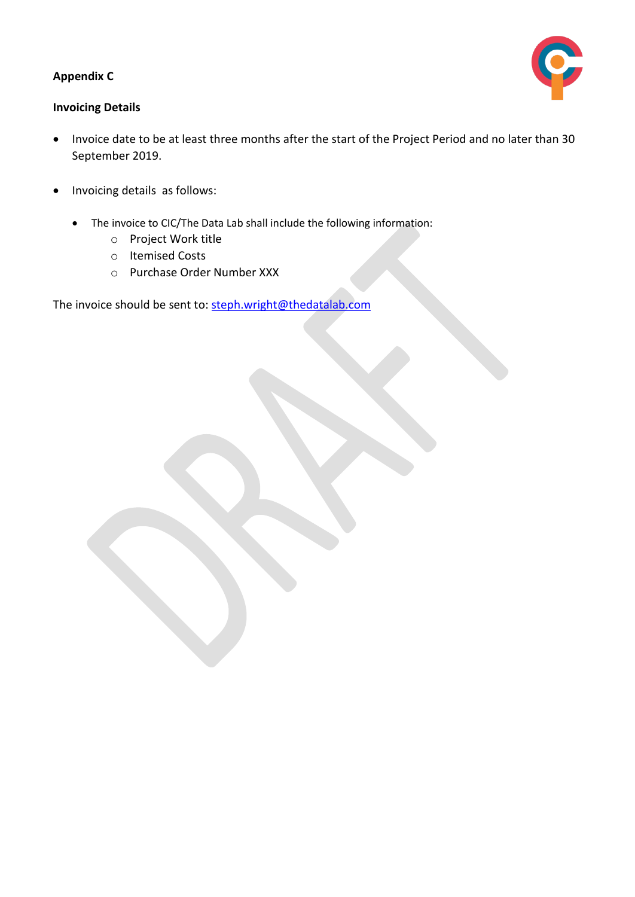#### **Appendix C**



#### **Invoicing Details**

- Invoice date to be at least three months after the start of the Project Period and no later than 30 September 2019.
- Invoicing details as follows:
	- The invoice to CIC/The Data Lab shall include the following information:
		- o Project Work title
		- o Itemised Costs
		- o Purchase Order Number XXX

The invoice should be sent to: [steph.wright@thedatalab.com](mailto:steph.wright@thedatalab.com)